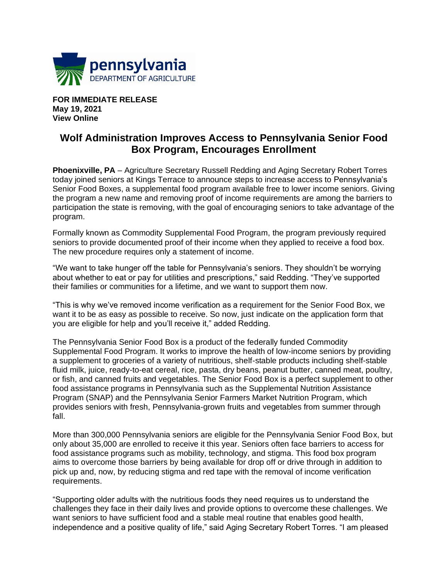

**FOR IMMEDIATE RELEASE May 19, 2021 View Online**

## **Wolf Administration Improves Access to Pennsylvania Senior Food Box Program, Encourages Enrollment**

**Phoenixville, PA** – Agriculture Secretary Russell Redding and Aging Secretary Robert Torres today joined seniors at Kings Terrace to announce steps to increase access to Pennsylvania's Senior Food Boxes, a supplemental food program available free to lower income seniors. Giving the program a new name and removing proof of income requirements are among the barriers to participation the state is removing, with the goal of encouraging seniors to take advantage of the program.

Formally known as Commodity Supplemental Food Program, the program previously required seniors to provide documented proof of their income when they applied to receive a food box. The new procedure requires only a statement of income.

"We want to take hunger off the table for Pennsylvania's seniors. They shouldn't be worrying about whether to eat or pay for utilities and prescriptions," said Redding. "They've supported their families or communities for a lifetime, and we want to support them now.

"This is why we've removed income verification as a requirement for the Senior Food Box, we want it to be as easy as possible to receive. So now, just indicate on the application form that you are eligible for help and you'll receive it," added Redding.

The Pennsylvania Senior Food Box is a product of the federally funded Commodity Supplemental Food Program. It works to improve the health of low-income seniors by providing a supplement to groceries of a variety of nutritious, shelf-stable products including shelf-stable fluid milk, juice, ready-to-eat cereal, rice, pasta, dry beans, peanut butter, canned meat, poultry, or fish, and canned fruits and vegetables. The Senior Food Box is a perfect supplement to other food assistance programs in Pennsylvania such as the Supplemental Nutrition Assistance Program (SNAP) and the Pennsylvania Senior Farmers Market Nutrition Program, which provides seniors with fresh, Pennsylvania-grown fruits and vegetables from summer through fall.

More than 300,000 Pennsylvania seniors are eligible for the Pennsylvania Senior Food Box, but only about 35,000 are enrolled to receive it this year. Seniors often face barriers to access for food assistance programs such as mobility, technology, and stigma. This food box program aims to overcome those barriers by being available for drop off or drive through in addition to pick up and, now, by reducing stigma and red tape with the removal of income verification requirements.

"Supporting older adults with the nutritious foods they need requires us to understand the challenges they face in their daily lives and provide options to overcome these challenges. We want seniors to have sufficient food and a stable meal routine that enables good health, independence and a positive quality of life," said Aging Secretary Robert Torres. "I am pleased